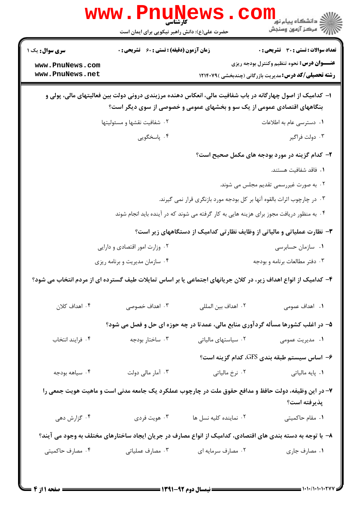|                                                                                                                                                                                      | <b>WWW . PNUNE</b><br>کارشناسی<br>حضرت علی(ع): دانش راهبر نیکویی برای ایمان است                            |                                | ڪ دانشڪاه پيا <sub>م</sub> نور<br>ا∛ مرڪز آزمون وسنڊش                                    |  |  |  |
|--------------------------------------------------------------------------------------------------------------------------------------------------------------------------------------|------------------------------------------------------------------------------------------------------------|--------------------------------|------------------------------------------------------------------------------------------|--|--|--|
| <b>سری سوال :</b> یک ۱                                                                                                                                                               | <b>زمان آزمون (دقیقه) : تستی : 60 ٪ تشریحی : 0</b>                                                         |                                | <b>تعداد سوالات : تستی : 30 ٪ تشریحی : 0</b>                                             |  |  |  |
| www.PnuNews.com                                                                                                                                                                      |                                                                                                            |                                | <b>عنـــوان درس:</b> نحوه تنظیم وکنترل بودجه ریزی                                        |  |  |  |
| www.PnuNews.net                                                                                                                                                                      |                                                                                                            |                                | <b>رشته تحصیلی/کد درس:</b> مدیریت بازرگانی (چندبخشی )۱۲۱۴۰۷۹                             |  |  |  |
| ا– کدامیک از اصول چهارگانه در باب شفافیت مالی، انعکاس دهنده مرزبندی درونی دولت بین فعالیتهای مالی، پولی و<br>بنگاههای اقتصادی عمومی از یک سو و بخشهای عمومی و خصوصی از سوی دیگر است؟ |                                                                                                            |                                |                                                                                          |  |  |  |
|                                                                                                                                                                                      | ۰۲ شفافیت نقشها و مسئولیتها                                                                                |                                | ۰۱ دسترسی عام به اطلاعات                                                                 |  |  |  |
|                                                                                                                                                                                      | ۰۴ پاسخگویی                                                                                                |                                | ۰۳ دولت فراگير                                                                           |  |  |  |
| ۲- کدام گزینه در مورد بودجه های مکمل صحیح است؟                                                                                                                                       |                                                                                                            |                                |                                                                                          |  |  |  |
|                                                                                                                                                                                      |                                                                                                            |                                | ٠١. فاقد شفافيت هستند.                                                                   |  |  |  |
|                                                                                                                                                                                      |                                                                                                            |                                | ۲. به صورت غیررسمی تقدیم مجلس می شوند.                                                   |  |  |  |
|                                                                                                                                                                                      |                                                                                                            |                                | ۰۳ در چارچوب اثرات بالقوه آنها بر کل بودجه مورد بازنگری قرار نمی گیرند.                  |  |  |  |
|                                                                                                                                                                                      |                                                                                                            |                                | ۰۴ به منظور دریافت مجوز برای هزینه هایی به کار گرفته می شوند که در آینده باید انجام شوند |  |  |  |
|                                                                                                                                                                                      |                                                                                                            |                                | <b>۳</b> - نظارت عملیاتی و مالیاتی از وظایف نظارتی کدامیک از دستگاههای زیر است؟          |  |  |  |
|                                                                                                                                                                                      | ۰۲ وزارت امور اقتصادی و دارایی                                                                             |                                | ۰۱ سازمان حسابرسی                                                                        |  |  |  |
|                                                                                                                                                                                      | ۰۴ سازمان مدیریت و برنامه ریزی                                                                             | ۰۳ دفتر مطالعات برنامه و بودجه |                                                                                          |  |  |  |
| ۴– کدامیک از انواع اهداف زیر، در کلان جریانهای اجتماعی یا بر اساس تمایلات طیف گسترده ای از مردم انتخاب می شود؟                                                                       |                                                                                                            |                                |                                                                                          |  |  |  |
| ۰۴ اهداف کلان                                                                                                                                                                        | ۰۳ اهداف خصوصی                                                                                             | ٢. اهداف بين المللي            | ۰۱ اهداف عمومي                                                                           |  |  |  |
|                                                                                                                                                                                      | ۵- در اغلب کشورها مسأله گردآوری منابع مالی، عمدتا در چه حوزه ای حل و فصل می شود؟                           |                                |                                                                                          |  |  |  |
| ۰۴ فرايند انتخاب                                                                                                                                                                     | ۰۳ ساختار بودجه                                                                                            | ۰۲ سیاستهای مالیاتی            | ۰۱ مدیریت عمومی                                                                          |  |  |  |
|                                                                                                                                                                                      |                                                                                                            |                                | ۶– اساس سیستم طبقه بندی GFS، کدام گزینه است؟                                             |  |  |  |
| ۰۴ سياهه بودجه                                                                                                                                                                       | ۰۳ آمار مالی دولت                                                                                          | ۰۲ نرخ مالیاتی                 | ۰۱ پایه مالیاتی                                                                          |  |  |  |
|                                                                                                                                                                                      | ۷- در این وظیفه، دولت حافظ و مدافع حقوق ملت در چارچوب عملکرد یک جامعه مدنی است و ماهیت هویت جمعی را        |                                |                                                                                          |  |  |  |
|                                                                                                                                                                                      |                                                                                                            |                                | پذيرفته است؟                                                                             |  |  |  |
| ۰۴ گزارش دهی                                                                                                                                                                         | ۰۳ هويت فردي                                                                                               | ٠٢ نماينده كليه نسل ها         | ٠١. مقام حاكميتي                                                                         |  |  |  |
|                                                                                                                                                                                      | ۸– با توجه به دسته بندی های اقتصادی، کدامیک از انواع مصارف در جریان ایجاد ساختارهای مختلف به وجود می آیند؟ |                                |                                                                                          |  |  |  |
| ۰۴ مصارف حاکمیتی                                                                                                                                                                     | ۰۳ مصارف عملیاتی                                                                                           | ۰۲ مصارف سرمایه ای             | ٠١. مصارف جاري                                                                           |  |  |  |
|                                                                                                                                                                                      |                                                                                                            |                                |                                                                                          |  |  |  |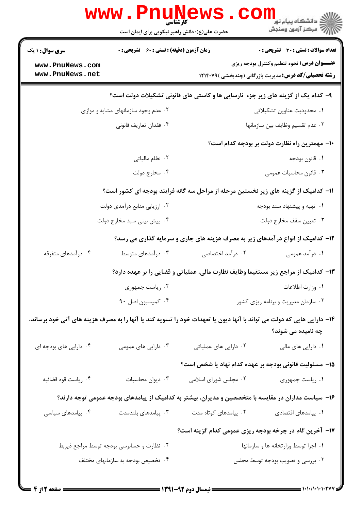|                                                                                                                                             | <b>WWW . PIIUT</b><br>حضرت علی(ع): دانش راهبر نیکویی برای ایمان است             | کارشناسی                             | ري دانشکاه پيام نور<br>ا∛ مرکز آزمون وسنجش                                                          |  |  |  |
|---------------------------------------------------------------------------------------------------------------------------------------------|---------------------------------------------------------------------------------|--------------------------------------|-----------------------------------------------------------------------------------------------------|--|--|--|
| <b>زمان آزمون (دقیقه) : تستی : 60 ٪ تشریحی : 0</b><br><b>سری سوال :</b> ۱ یک                                                                |                                                                                 |                                      | <b>تعداد سوالات : تستي : 30 ٪ تشريحي : 0</b>                                                        |  |  |  |
| www.PnuNews.com                                                                                                                             |                                                                                 |                                      | <b>عنـــوان درس:</b> نحوه تنظیم وکنترل بودجه ریزی                                                   |  |  |  |
| www.PnuNews.net                                                                                                                             |                                                                                 |                                      | <b>رشته تحصیلی/کد درس:</b> مدیریت بازرگانی (چندبخشی )۱۲۱۴۰۷۹                                        |  |  |  |
| ۹- کدام یک از گزینه های زیر جزء نارسایی ها و کاستی های قانونی تشکیلات دولت است؟                                                             |                                                                                 |                                      |                                                                                                     |  |  |  |
| ۰۲ عدم وجود سازمانهای مشابه و موازی                                                                                                         |                                                                                 | ٠١ محدوديت عناوين تشكيلاتي           |                                                                                                     |  |  |  |
|                                                                                                                                             | ۰۴ فقدان تعاريف قانوني                                                          |                                      | ٠٣ عدم تقسيم وظايف بين سازمانها                                                                     |  |  |  |
|                                                                                                                                             |                                                                                 |                                      | -۱- مهمترین راه نظارت دولت بر بودجه کدام است؟                                                       |  |  |  |
| ٢. نظام مالياتي                                                                                                                             |                                                                                 | ٠١ قانون بودجه                       |                                                                                                     |  |  |  |
|                                                                                                                                             | ۰۴ مخارج دولت                                                                   |                                      | ۰۳ قانون محاسبات عمومی                                                                              |  |  |  |
|                                                                                                                                             |                                                                                 |                                      | 11- کدامیک از گزینه های زیر نخستین مرحله از مراحل سه گانه فرایند بودجه ای کشور است؟                 |  |  |  |
|                                                                                                                                             | ۰۲ ارزیابی منابع درآمدی دولت                                                    |                                      | ۰۱ تهیه و پیشنهاد سند بودجه                                                                         |  |  |  |
|                                                                                                                                             | ۰۴ پیش بینی سبد مخارج دولت                                                      |                                      | ۰۳ تعيين سقف مخارج دولت                                                                             |  |  |  |
|                                                                                                                                             | ۱۲- کدامیک از انواع در آمدهای زیر به مصرف هزینه های جاری و سرمایه گذاری می رسد؟ |                                      |                                                                                                     |  |  |  |
| ۰۴ درآمدهای متفرقه                                                                                                                          | ۰۳ درآمدهای متوسط                                                               | ۰۲ درآمد اختصاصی                     | ۰۱ درآمد عمومی                                                                                      |  |  |  |
| ۱۳– کدامیک از مراجع زیر مستقیما وظایف نظارت مالی، عملیاتی و قضایی را بر عهده دارد؟                                                          |                                                                                 |                                      |                                                                                                     |  |  |  |
|                                                                                                                                             | ۰۲ رياست جمهوري                                                                 |                                      | ٠١ وزارت اطلاعات                                                                                    |  |  |  |
|                                                                                                                                             | ۰۴ کمیسیون اصل ۹۰                                                               | ۰۳ سازمان مدیریت و برنامه ریزی کشور  |                                                                                                     |  |  |  |
| ۱۴– دارایی هایی که دولت می تواند با آنها دیون یا تعهدات خود را تسویه کند یا آنها را به مصرف هزینه های آتی خود برساند،<br>چه نامیده می شوند؟ |                                                                                 |                                      |                                                                                                     |  |  |  |
| ۰۴ دارایی های بودجه ای                                                                                                                      | ۰۳ دارایی های عمومی                                                             | ۰۲ دارایی های عملیاتی                | ۰۱ دارایی های مالی                                                                                  |  |  |  |
|                                                                                                                                             |                                                                                 |                                      | ۱۵– مسئولیت قانونی بودجه بر عهده کدام نهاد یا شخص است؟                                              |  |  |  |
| ۰۴ رياست قوه قضائيه                                                                                                                         | ۰۳ دیوان محاسبات                                                                | ۰۲ مجلس شورای اسلامی                 | ٠١. رياست جمهوري                                                                                    |  |  |  |
|                                                                                                                                             |                                                                                 |                                      | ۱۶– سیاست مداران در مقایسه با متخصصین و مدیران، بیشتر به کدامیک از پیامدهای بودجه عمومی توجه دارند؟ |  |  |  |
| ۰۴ پیامدهای سیاسی                                                                                                                           | ۰۳ پیامدهای بلندمدت                                                             | ۰۲ پیامدهای کوتاه مدت                | ٠١. پیامدهای اقتصادی                                                                                |  |  |  |
|                                                                                                                                             |                                                                                 |                                      | ۱۷- آخرین گام در چرخه بودجه ریزی عمومی کدام گزینه است؟                                              |  |  |  |
|                                                                                                                                             | ۰۲ نظارت و حسابرسی بودجه توسط مراجع ذیربط                                       | ۰۱ اجرا توسط وزارتخانه ها و سازمانها |                                                                                                     |  |  |  |
|                                                                                                                                             | ۰۴ تخصیص بودجه به سازمانهای مختلف                                               |                                      | ۰۳ بررسی و تصویب بودجه توسط مجلس                                                                    |  |  |  |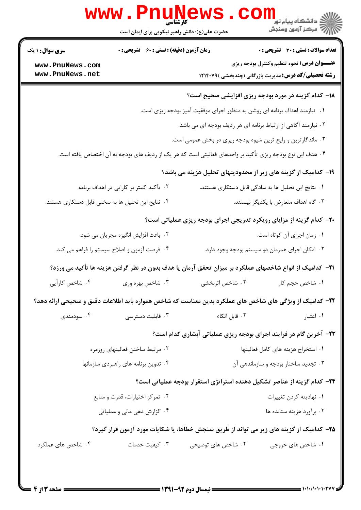| ڪ دانشڪاه پيام نور ■<br>// مرکز آزمون وسنجش                                                                                                  |                                                                                                                 | حضرت علی(ع): دانش راهبر نیکویی برای ایمان است                  |                                                                                              |  |  |  |
|----------------------------------------------------------------------------------------------------------------------------------------------|-----------------------------------------------------------------------------------------------------------------|----------------------------------------------------------------|----------------------------------------------------------------------------------------------|--|--|--|
| <b>تعداد سوالات : تستی : 30 ٪ تشریحی : 0</b>                                                                                                 |                                                                                                                 | <b>زمان آزمون (دقیقه) : تستی : 60 گشریحی : 0</b>               | <b>سری سوال : ۱ یک</b>                                                                       |  |  |  |
| <b>عنـــوان درس:</b> نحوه تنظیم وکنترل بودجه ریزی<br><b>رشته تحصیلی/کد درس:</b> مدیریت بازرگانی (چندبخشی )۱۲۱۴۰۷۹                            |                                                                                                                 |                                                                | www.PnuNews.com<br>www.PnuNews.net                                                           |  |  |  |
| <b>۱۸</b> - کدام گزینه در مورد بودجه ریزی افزایشی صحیح است؟                                                                                  |                                                                                                                 |                                                                |                                                                                              |  |  |  |
|                                                                                                                                              |                                                                                                                 |                                                                |                                                                                              |  |  |  |
| ۰۱ نیازمند اهداف برنامه ای روشن به منظور اجرای موفقیت آمیز بودجه ریزی است.<br>۰۲ نیازمند آگاهی از ارتباط برنامه ای هر ردیف بودجه ای می باشد. |                                                                                                                 |                                                                |                                                                                              |  |  |  |
| ۰۳ ماندگارترین و رایج ترین شیوه بودجه ریزی در بخش عمومی است.                                                                                 |                                                                                                                 |                                                                |                                                                                              |  |  |  |
|                                                                                                                                              | ۰۴ هدف این نوع بودجه ریزی تأکید بر واحدهای فعالیتی است که هر یک از ردیف های بودجه به آن اختصاص یافته است.       |                                                                |                                                                                              |  |  |  |
|                                                                                                                                              |                                                                                                                 |                                                                |                                                                                              |  |  |  |
|                                                                                                                                              | ۱۹- کدامیک از گزینه های زیر از محدودیتهای تحلیل هزینه می باشد؟                                                  |                                                                |                                                                                              |  |  |  |
| ۰۱ نتایج این تحلیل ها به سادگی قابل دستکاری هستند.<br>۰۳ گاه اهداف متعارض با يكديگر نيستند.                                                  |                                                                                                                 |                                                                | ۰۲ تآکید کمتر بر کارایی در اهداف برنامه<br>۰۴ نتایج این تحلیل ها به سختی قابل دستکاری هستند. |  |  |  |
|                                                                                                                                              |                                                                                                                 |                                                                |                                                                                              |  |  |  |
|                                                                                                                                              | ۲۰- کدام گزینه از مزایای رویکرد تدریجی اجرای بودجه ریزی عملیاتی است؟                                            |                                                                |                                                                                              |  |  |  |
| ٠١ زمان اجراى آن كوتاه است.                                                                                                                  |                                                                                                                 | ۰۲ باعث افزایش انگیزه مجریان می شود.                           |                                                                                              |  |  |  |
| ۰۳ امکان اجرای همزمان دو سیستم بودجه وجود دارد.                                                                                              |                                                                                                                 | ۰۴ فرصت آزمون و اصلاح سیستم را فراهم می کند.                   |                                                                                              |  |  |  |
|                                                                                                                                              | <b>۲۱</b> – کدامیک از انواع شاخصهای عملکرد بر میزان تحقق آرمان یا هدف بدون در نظر گرفتن هزینه ها تأکید می ورزد؟ |                                                                |                                                                                              |  |  |  |
| ١. شاخص حجم کار                                                                                                                              | ۲. شاخص اثربخشی                                                                                                 | ۰۳ شاخص بهره وری                                               | ۰۴ شاخص کارآیی                                                                               |  |  |  |
|                                                                                                                                              | <b>۲۲</b> – کدامیک از ویژگی های شاخص های عملکرد بدین معناست که شاخص همواره باید اطلاعات دقیق و صحیحی ارائه دهد؟ |                                                                |                                                                                              |  |  |  |
| ٠١. اعتبار                                                                                                                                   | ۰۲ قابل اتکاء                                                                                                   | ۰۳ قابلیت دسترسی                                               | ۰۴ سودمندی                                                                                   |  |  |  |
|                                                                                                                                              | ۲۳- آخرین گام در فرایند اجرای بودجه ریزی عملیاتی آبشاری کدام است؟                                               |                                                                |                                                                                              |  |  |  |
| ۰۱ استخراج هزينه هاى كامل فعاليتها                                                                                                           |                                                                                                                 | ۰۲ مرتبط ساختن فعاليتهاى روزمره                                |                                                                                              |  |  |  |
| ۰۳ تجدید ساختار بودجه و سازماندهی آن                                                                                                         |                                                                                                                 | ۰۴ تدوین برنامه های راهبردی سازمانها                           |                                                                                              |  |  |  |
|                                                                                                                                              | ۲۴- کدام گزینه از عناصر تشکیل دهنده استراتژی استقرار بودجه عملیاتی است؟                                         |                                                                |                                                                                              |  |  |  |
| ۰۱ نهادينه كردن تغييرات                                                                                                                      |                                                                                                                 |                                                                |                                                                                              |  |  |  |
| ۰۳ برآورد هزينه ستانده ها                                                                                                                    |                                                                                                                 | ۰۲ تمرکز اختیارات، قدرت و منابع<br>۰۴ گزارش دهی مالی و عملیاتی |                                                                                              |  |  |  |
|                                                                                                                                              |                                                                                                                 |                                                                |                                                                                              |  |  |  |
|                                                                                                                                              | ۲۵– کدامیک از گزینه های زیر می تواند از طریق سنجش خطاها، یا شکایات مورد آزمون قرار گیرد؟                        |                                                                |                                                                                              |  |  |  |
| ۰۱ شاخص های خروجی                                                                                                                            | ۰۲ شاخص های توضیحی                                                                                              | ۰۳ کیفیت خدمات                                                 | ۰۴ شاخص های عملکرد                                                                           |  |  |  |